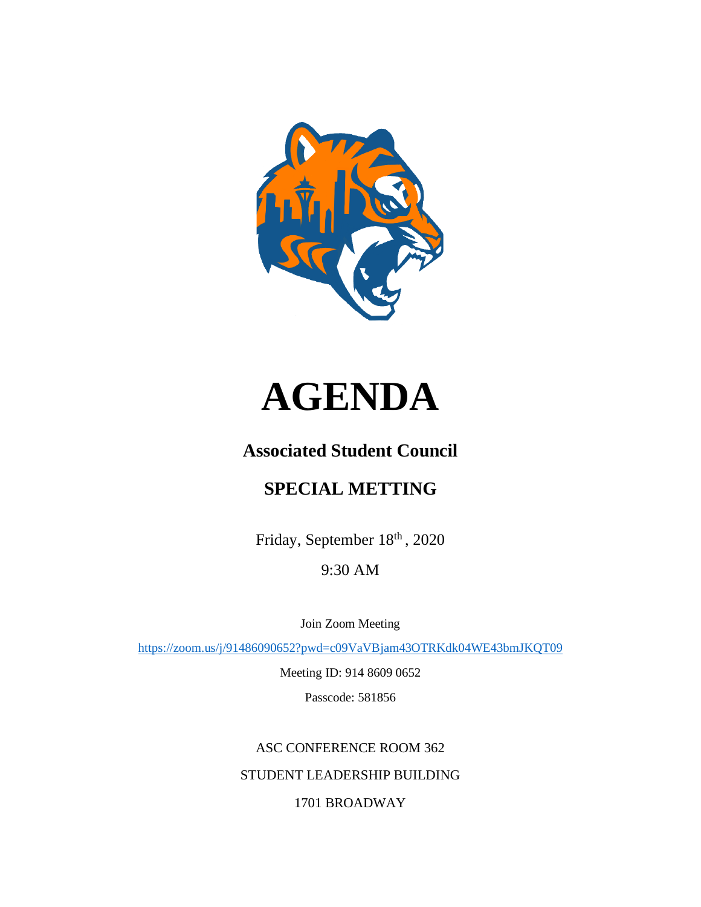



# **Associated Student Council**

# **SPECIAL METTING**

Friday, September 18th, 2020

9:30 AM

Join Zoom Meeting

<https://zoom.us/j/91486090652?pwd=c09VaVBjam43OTRKdk04WE43bmJKQT09>

Meeting ID: 914 8609 0652

Passcode: 581856

ASC CONFERENCE ROOM 362 STUDENT LEADERSHIP BUILDING 1701 BROADWAY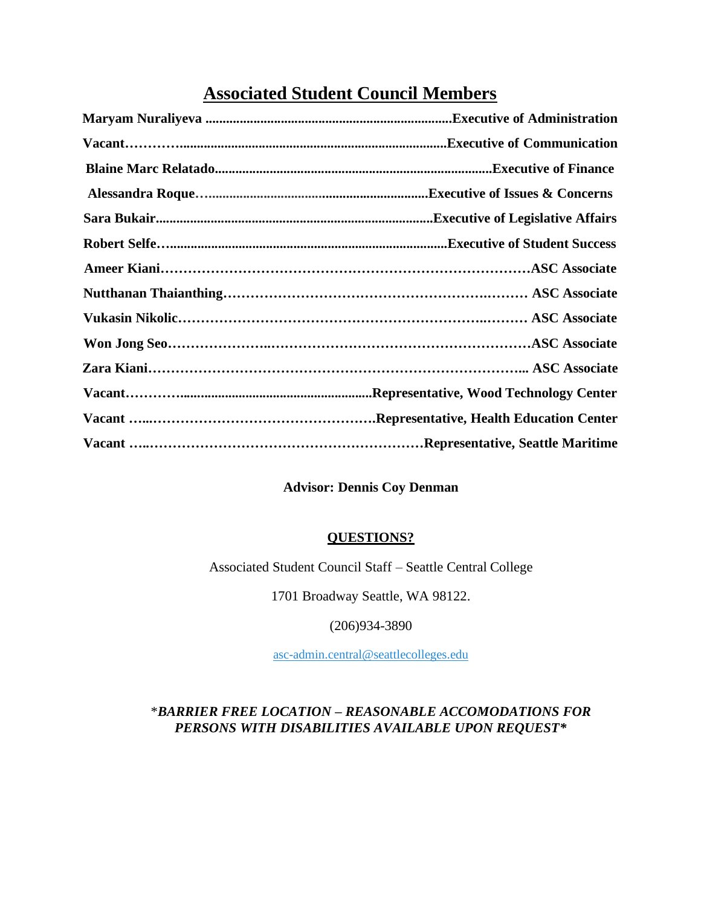# **Associated Student Council Members**

## **Advisor: Dennis Coy Denman**

### **QUESTIONS?**

Associated Student Council Staff – Seattle Central College

1701 Broadway Seattle, WA 98122.

(206)934-3890

[asc-admin.central@seattlecolleges.edu](mailto:asc-admin.central@seattlecolleges.edu)

## \**BARRIER FREE LOCATION – REASONABLE ACCOMODATIONS FOR PERSONS WITH DISABILITIES AVAILABLE UPON REQUEST\**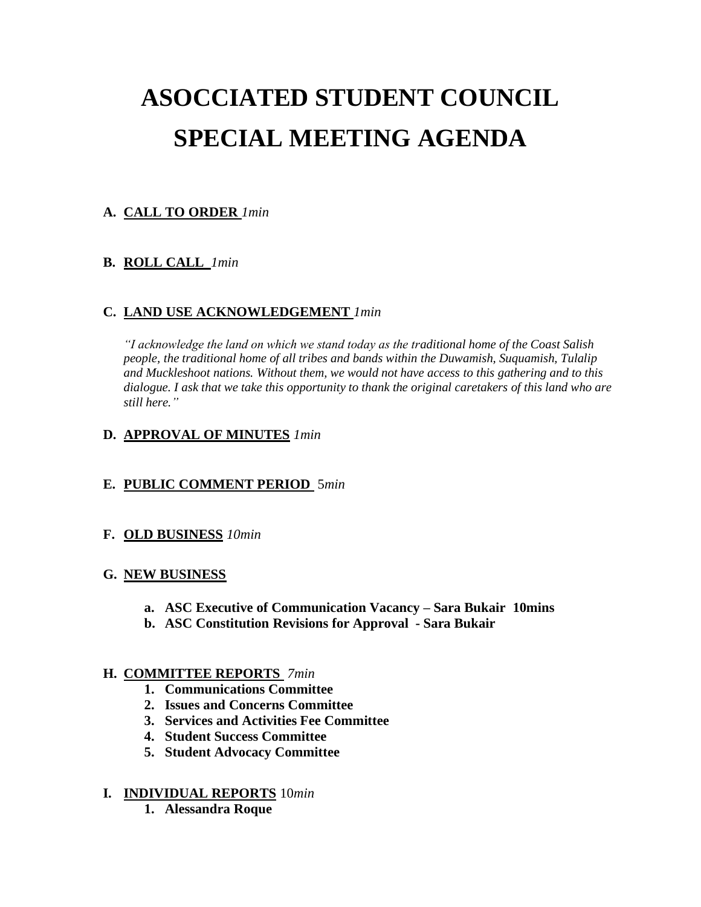# **ASOCCIATED STUDENT COUNCIL SPECIAL MEETING AGENDA**

## **A. CALL TO ORDER** *1min*

#### **B. ROLL CALL** *1min*

#### **C. LAND USE ACKNOWLEDGEMENT** *1min*

*"I acknowledge the land on which we stand today as the traditional home of the Coast Salish people, the traditional home of all tribes and bands within the Duwamish, Suquamish, Tulalip and Muckleshoot nations. Without them, we would not have access to this gathering and to this dialogue. I ask that we take this opportunity to thank the original caretakers of this land who are still here."*

#### **D. APPROVAL OF MINUTES** *1min*

#### **E. PUBLIC COMMENT PERIOD** 5*min*

#### **F. OLD BUSINESS** *10min*

#### **G. NEW BUSINESS**

- **a. ASC Executive of Communication Vacancy – Sara Bukair 10mins**
- **b. ASC Constitution Revisions for Approval - Sara Bukair**

#### **H. COMMITTEE REPORTS** *7min*

- **1. Communications Committee**
- **2. Issues and Concerns Committee**
- **3. Services and Activities Fee Committee**
- **4. Student Success Committee**
- **5. Student Advocacy Committee**

#### **I. INDIVIDUAL REPORTS** 10*min*

**1. Alessandra Roque**